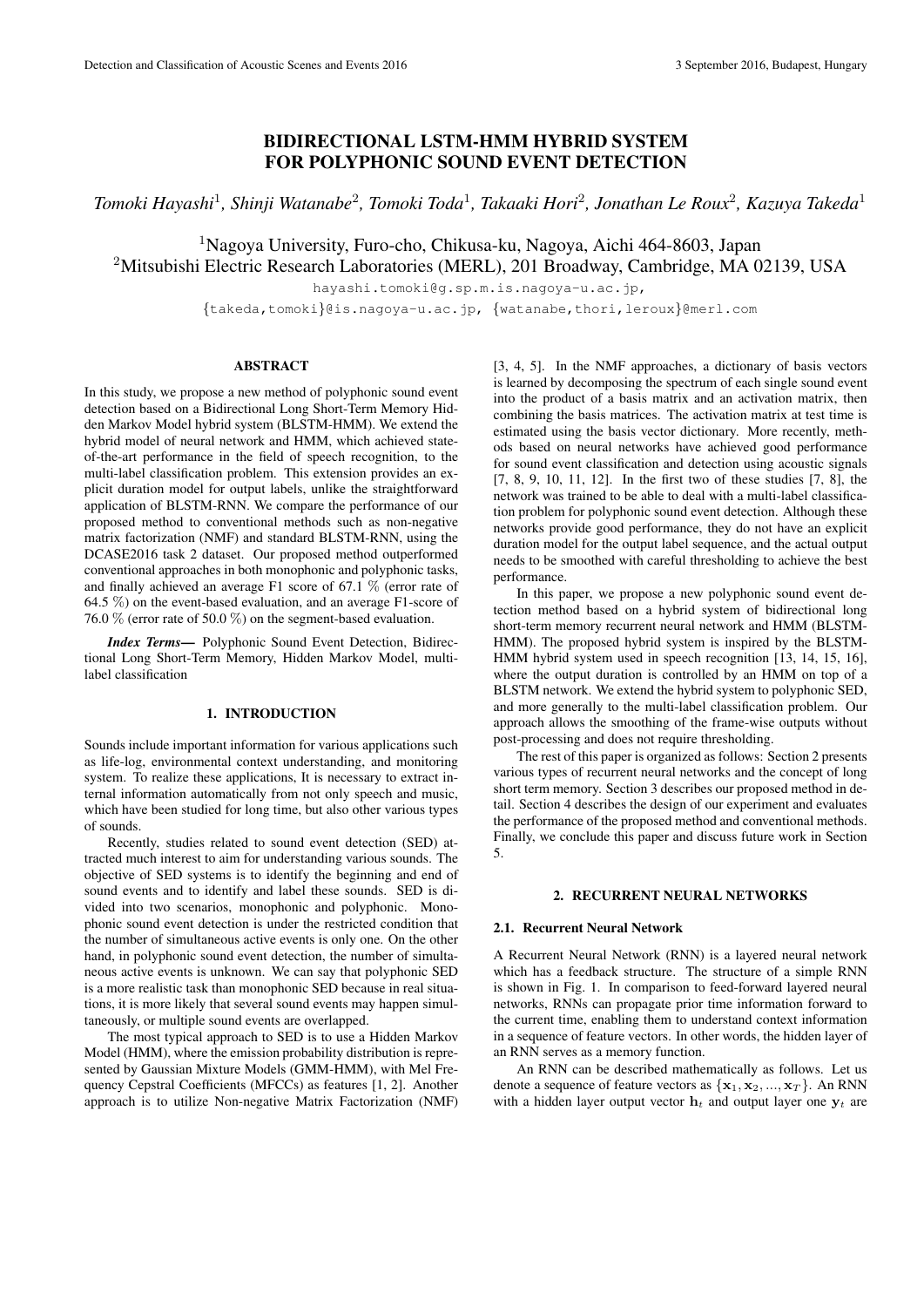# BIDIRECTIONAL LSTM-HMM HYBRID SYSTEM FOR POLYPHONIC SOUND EVENT DETECTION

*Tomoki Hayashi*<sup>1</sup> *, Shinji Watanabe*<sup>2</sup> *, Tomoki Toda*<sup>1</sup> *, Takaaki Hori*<sup>2</sup> *, Jonathan Le Roux*<sup>2</sup> *, Kazuya Takeda*<sup>1</sup>

<sup>1</sup>Nagoya University, Furo-cho, Chikusa-ku, Nagoya, Aichi 464-8603, Japan

<sup>2</sup>Mitsubishi Electric Research Laboratories (MERL), 201 Broadway, Cambridge, MA 02139, USA

hayashi.tomoki@g.sp.m.is.nagoya-u.ac.jp,

*{*takeda,tomoki*}*@is.nagoya-u.ac.jp, *{*watanabe,thori,leroux*}*@merl.com

## ABSTRACT

In this study, we propose a new method of polyphonic sound event detection based on a Bidirectional Long Short-Term Memory Hidden Markov Model hybrid system (BLSTM-HMM). We extend the hybrid model of neural network and HMM, which achieved stateof-the-art performance in the field of speech recognition, to the multi-label classification problem. This extension provides an explicit duration model for output labels, unlike the straightforward application of BLSTM-RNN. We compare the performance of our proposed method to conventional methods such as non-negative matrix factorization (NMF) and standard BLSTM-RNN, using the DCASE2016 task 2 dataset. Our proposed method outperformed conventional approaches in both monophonic and polyphonic tasks, and finally achieved an average F1 score of 67.1 % (error rate of 64.5 %) on the event-based evaluation, and an average F1-score of 76.0 % (error rate of 50.0 %) on the segment-based evaluation.

*Index Terms*— Polyphonic Sound Event Detection, Bidirectional Long Short-Term Memory, Hidden Markov Model, multilabel classification

# 1. INTRODUCTION

Sounds include important information for various applications such as life-log, environmental context understanding, and monitoring system. To realize these applications, It is necessary to extract internal information automatically from not only speech and music, which have been studied for long time, but also other various types of sounds.

Recently, studies related to sound event detection (SED) attracted much interest to aim for understanding various sounds. The objective of SED systems is to identify the beginning and end of sound events and to identify and label these sounds. SED is divided into two scenarios, monophonic and polyphonic. Monophonic sound event detection is under the restricted condition that the number of simultaneous active events is only one. On the other hand, in polyphonic sound event detection, the number of simultaneous active events is unknown. We can say that polyphonic SED is a more realistic task than monophonic SED because in real situations, it is more likely that several sound events may happen simultaneously, or multiple sound events are overlapped.

The most typical approach to SED is to use a Hidden Markov Model (HMM), where the emission probability distribution is represented by Gaussian Mixture Models (GMM-HMM), with Mel Frequency Cepstral Coefficients (MFCCs) as features [1, 2]. Another approach is to utilize Non-negative Matrix Factorization (NMF) [3, 4, 5]. In the NMF approaches, a dictionary of basis vectors is learned by decomposing the spectrum of each single sound event into the product of a basis matrix and an activation matrix, then combining the basis matrices. The activation matrix at test time is estimated using the basis vector dictionary. More recently, methods based on neural networks have achieved good performance for sound event classification and detection using acoustic signals [7, 8, 9, 10, 11, 12]. In the first two of these studies [7, 8], the network was trained to be able to deal with a multi-label classification problem for polyphonic sound event detection. Although these networks provide good performance, they do not have an explicit duration model for the output label sequence, and the actual output needs to be smoothed with careful thresholding to achieve the best performance.

In this paper, we propose a new polyphonic sound event detection method based on a hybrid system of bidirectional long short-term memory recurrent neural network and HMM (BLSTM-HMM). The proposed hybrid system is inspired by the BLSTM-HMM hybrid system used in speech recognition [13, 14, 15, 16], where the output duration is controlled by an HMM on top of a BLSTM network. We extend the hybrid system to polyphonic SED, and more generally to the multi-label classification problem. Our approach allows the smoothing of the frame-wise outputs without post-processing and does not require thresholding.

The rest of this paper is organized as follows: Section 2 presents various types of recurrent neural networks and the concept of long short term memory. Section 3 describes our proposed method in detail. Section 4 describes the design of our experiment and evaluates the performance of the proposed method and conventional methods. Finally, we conclude this paper and discuss future work in Section 5.

## 2. RECURRENT NEURAL NETWORKS

# 2.1. Recurrent Neural Network

A Recurrent Neural Network (RNN) is a layered neural network which has a feedback structure. The structure of a simple RNN is shown in Fig. 1. In comparison to feed-forward layered neural networks, RNNs can propagate prior time information forward to the current time, enabling them to understand context information in a sequence of feature vectors. In other words, the hidden layer of an RNN serves as a memory function.

An RNN can be described mathematically as follows. Let us denote a sequence of feature vectors as *{***x**1*,* **x**2*, ...,* **x***<sup>T</sup> }*. An RNN with a hidden layer output vector  $\mathbf{h}_t$  and output layer one  $\mathbf{y}_t$  are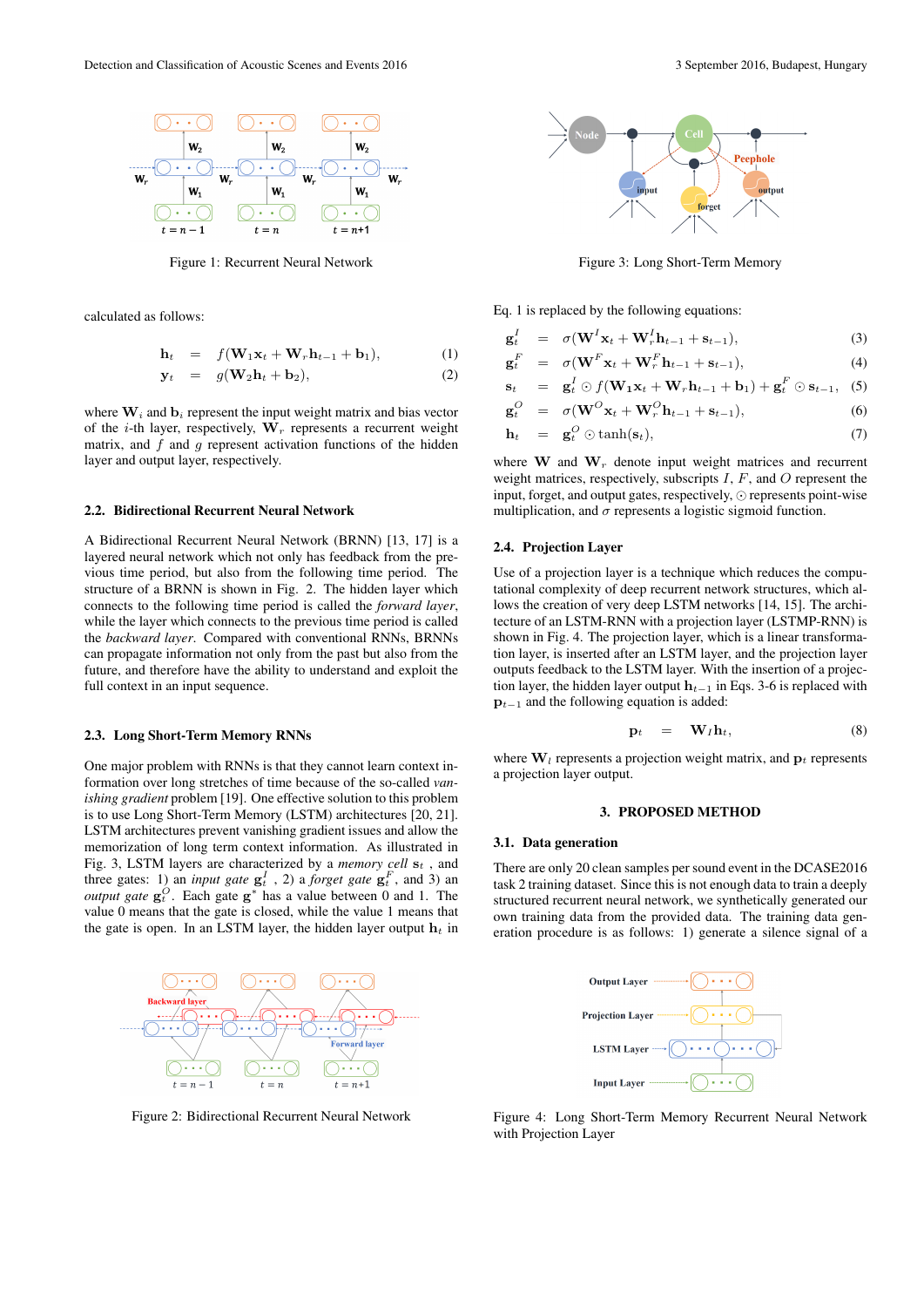

Figure 1: Recurrent Neural Network

calculated as follows:

$$
\mathbf{h}_t = f(\mathbf{W}_1 \mathbf{x}_t + \mathbf{W}_r \mathbf{h}_{t-1} + \mathbf{b}_1), \tag{1}
$$

$$
\mathbf{y}_t = g(\mathbf{W}_2 \mathbf{h}_t + \mathbf{b}_2), \tag{2}
$$

where  $W_i$  and  $b_i$  represent the input weight matrix and bias vector of the *i*-th layer, respectively, **W***<sup>r</sup>* represents a recurrent weight matrix, and *f* and *g* represent activation functions of the hidden layer and output layer, respectively.

# 2.2. Bidirectional Recurrent Neural Network

A Bidirectional Recurrent Neural Network (BRNN) [13, 17] is a layered neural network which not only has feedback from the previous time period, but also from the following time period. The structure of a BRNN is shown in Fig. 2. The hidden layer which connects to the following time period is called the *forward layer*, while the layer which connects to the previous time period is called the *backward layer*. Compared with conventional RNNs, BRNNs can propagate information not only from the past but also from the future, and therefore have the ability to understand and exploit the full context in an input sequence.

#### 2.3. Long Short-Term Memory RNNs

One major problem with RNNs is that they cannot learn context information over long stretches of time because of the so-called *vanishing gradient* problem [19]. One effective solution to this problem is to use Long Short-Term Memory (LSTM) architectures [20, 21]. LSTM architectures prevent vanishing gradient issues and allow the memorization of long term context information. As illustrated in Fig. 3, LSTM layers are characterized by a *memory cell* **s***<sup>t</sup>* , and three gates: 1) an *input gate*  $g_t^I$ , 2) a *forget gate*  $g_t^F$ , and 3) an *output gate*  $g_t^O$ . Each gate  $g^*$  has a value between 0 and 1. The value 0 means that the gate is closed, while the value 1 means that the gate is open. In an LSTM layer, the hidden layer output  $h_t$  in



Figure 2: Bidirectional Recurrent Neural Network



Figure 3: Long Short-Term Memory

Eq. 1 is replaced by the following equations:

$$
\mathbf{g}_t^I = \sigma(\mathbf{W}^I \mathbf{x}_t + \mathbf{W}_r^I \mathbf{h}_{t-1} + \mathbf{s}_{t-1}), \tag{3}
$$

$$
\mathbf{g}_t^F = \sigma(\mathbf{W}^F \mathbf{x}_t + \mathbf{W}_r^F \mathbf{h}_{t-1} + \mathbf{s}_{t-1}), \tag{4}
$$

$$
\mathbf{s}_t = \mathbf{g}_t^I \odot f(\mathbf{W}_1 \mathbf{x}_t + \mathbf{W}_r \mathbf{h}_{t-1} + \mathbf{b}_1) + \mathbf{g}_t^F \odot \mathbf{s}_{t-1}, \quad (5)
$$

$$
\mathbf{g}_t^O = \sigma(\mathbf{W}^O \mathbf{x}_t + \mathbf{W}_r^O \mathbf{h}_{t-1} + \mathbf{s}_{t-1}), \tag{6}
$$

$$
\mathbf{h}_t = \mathbf{g}_t^O \odot \tanh(\mathbf{s}_t), \tag{7}
$$

where  $\mathbf{W}$  and  $\mathbf{W}_r$  denote input weight matrices and recurrent weight matrices, respectively, subscripts *I*, *F*, and *O* represent the input, forget, and output gates, respectively, *⊙* represents point-wise multiplication, and  $\sigma$  represents a logistic sigmoid function.

## 2.4. Projection Layer

Use of a projection layer is a technique which reduces the computational complexity of deep recurrent network structures, which allows the creation of very deep LSTM networks [14, 15]. The architecture of an LSTM-RNN with a projection layer (LSTMP-RNN) is shown in Fig. 4. The projection layer, which is a linear transformation layer, is inserted after an LSTM layer, and the projection layer outputs feedback to the LSTM layer. With the insertion of a projection layer, the hidden layer output **h***<sup>t</sup>−*<sup>1</sup> in Eqs. 3-6 is replaced with **p**<sub>*t*−1</sub> and the following equation is added:

$$
\mathbf{p}_t = \mathbf{W}_I \mathbf{h}_t, \tag{8}
$$

where  $W_l$  represents a projection weight matrix, and  $p_t$  represents a projection layer output.

## 3. PROPOSED METHOD

## 3.1. Data generation

There are only 20 clean samples per sound event in the DCASE2016 task 2 training dataset. Since this is not enough data to train a deeply structured recurrent neural network, we synthetically generated our own training data from the provided data. The training data generation procedure is as follows: 1) generate a silence signal of a



Figure 4: Long Short-Term Memory Recurrent Neural Network with Projection Layer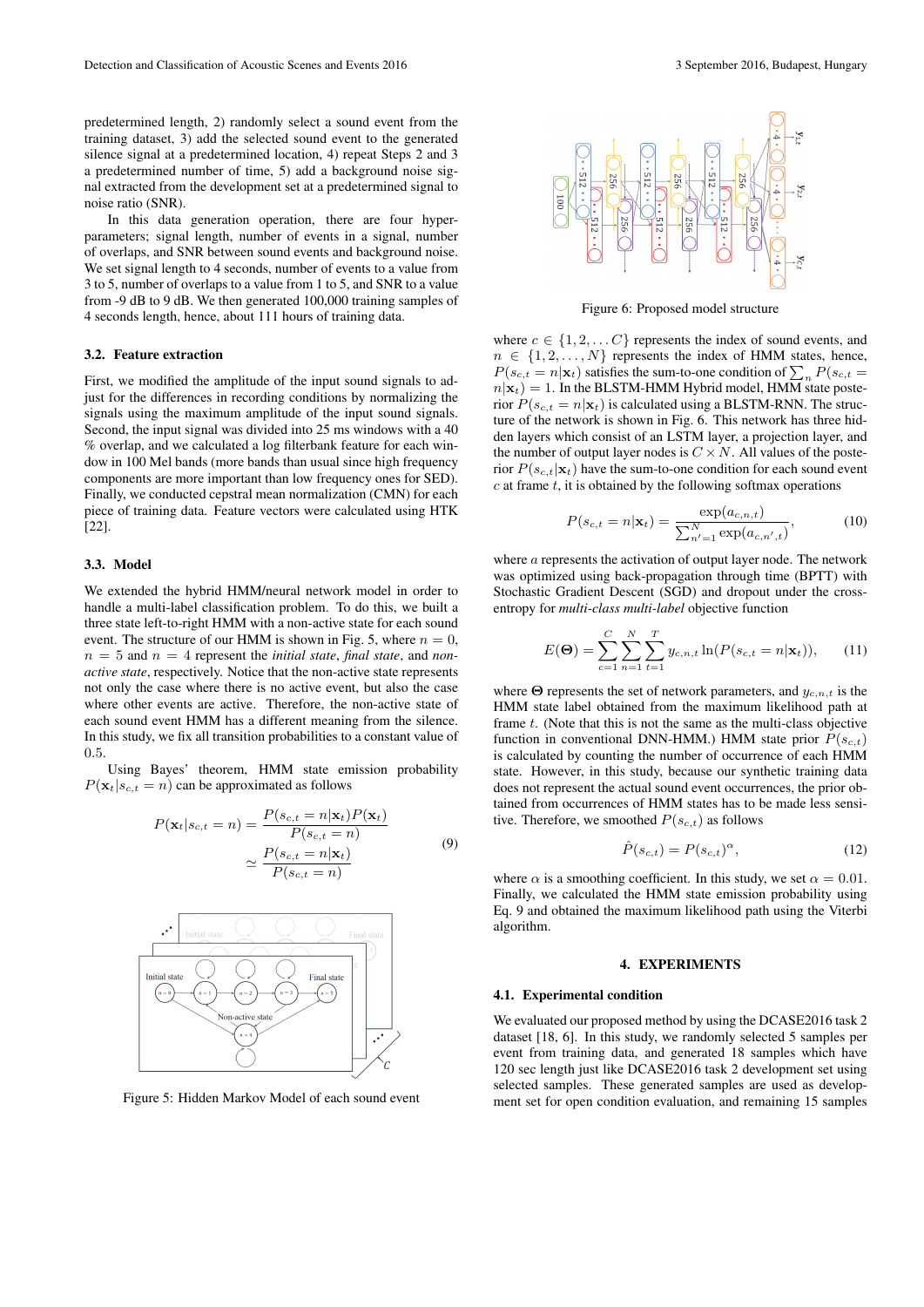predetermined length, 2) randomly select a sound event from the training dataset, 3) add the selected sound event to the generated silence signal at a predetermined location, 4) repeat Steps 2 and 3 a predetermined number of time, 5) add a background noise signal extracted from the development set at a predetermined signal to noise ratio (SNR).

In this data generation operation, there are four hyperparameters; signal length, number of events in a signal, number of overlaps, and SNR between sound events and background noise. We set signal length to 4 seconds, number of events to a value from 3 to 5, number of overlaps to a value from 1 to 5, and SNR to a value from -9 dB to 9 dB. We then generated 100,000 training samples of 4 seconds length, hence, about 111 hours of training data.

#### 3.2. Feature extraction

First, we modified the amplitude of the input sound signals to adjust for the differences in recording conditions by normalizing the signals using the maximum amplitude of the input sound signals. Second, the input signal was divided into 25 ms windows with a 40 % overlap, and we calculated a log filterbank feature for each window in 100 Mel bands (more bands than usual since high frequency components are more important than low frequency ones for SED). Finally, we conducted cepstral mean normalization (CMN) for each piece of training data. Feature vectors were calculated using HTK [22].

#### 3.3. Model

We extended the hybrid HMM/neural network model in order to handle a multi-label classification problem. To do this, we built a three state left-to-right HMM with a non-active state for each sound event. The structure of our HMM is shown in Fig. 5, where  $n = 0$ ,  $n = 5$  and  $n = 4$  represent the *initial state*, *final state*, and *nonactive state*, respectively. Notice that the non-active state represents not only the case where there is no active event, but also the case where other events are active. Therefore, the non-active state of each sound event HMM has a different meaning from the silence. In this study, we fix all transition probabilities to a constant value of 0*.*5.

Using Bayes' theorem, HMM state emission probability  $P(\mathbf{x}_t | s_{c,t} = n)$  can be approximated as follows

$$
P(\mathbf{x}_t|s_{c,t} = n) = \frac{P(s_{c,t} = n|\mathbf{x}_t)P(\mathbf{x}_t)}{P(s_{c,t} = n)}
$$
  

$$
\simeq \frac{P(s_{c,t} = n|\mathbf{x}_t)}{P(s_{c,t} = n)}
$$
(9)



Figure 5: Hidden Markov Model of each sound event



Figure 6: Proposed model structure

where  $c \in \{1, 2, \ldots C\}$  represents the index of sound events, and  $n \in \{1, 2, \ldots, N\}$  represents the index of HMM states, hence,  $P(s_{c,t} = n | \mathbf{x}_t)$  satisfies the sum-to-one condition of  $\sum_n P(s_{c,t} = n | \mathbf{x}_t)$  $n|\mathbf{x}_t| = 1$ . In the BLSTM-HMM Hybrid model, HMM state posterior  $P(s_{c,t} = n|\mathbf{x}_t)$  is calculated using a BLSTM-RNN. The structure of the network is shown in Fig. 6. This network has three hidden layers which consist of an LSTM layer, a projection layer, and the number of output layer nodes is  $C \times N$ . All values of the posterior  $P(s_{c,t}|\mathbf{x}_t)$  have the sum-to-one condition for each sound event *c* at frame *t*, it is obtained by the following softmax operations

$$
P(s_{c,t} = n | \mathbf{x}_t) = \frac{\exp(a_{c,n,t})}{\sum_{n'=1}^{N} \exp(a_{c,n',t})},
$$
(10)

where *a* represents the activation of output layer node. The network was optimized using back-propagation through time (BPTT) with Stochastic Gradient Descent (SGD) and dropout under the crossentropy for *multi-class multi-label* objective function

$$
E(\mathbf{\Theta}) = \sum_{c=1}^{C} \sum_{n=1}^{N} \sum_{t=1}^{T} y_{c,n,t} \ln(P(s_{c,t} = n | \mathbf{x}_t)), \quad (11)
$$

where **Θ** represents the set of network parameters, and *yc,n,t* is the HMM state label obtained from the maximum likelihood path at frame *t*. (Note that this is not the same as the multi-class objective function in conventional DNN-HMM.) HMM state prior  $P(s_{c,t})$ is calculated by counting the number of occurrence of each HMM state. However, in this study, because our synthetic training data does not represent the actual sound event occurrences, the prior obtained from occurrences of HMM states has to be made less sensitive. Therefore, we smoothed  $P(s_{c,t})$  as follows

$$
\hat{P}(s_{c,t}) = P(s_{c,t})^{\alpha},\tag{12}
$$

where  $\alpha$  is a smoothing coefficient. In this study, we set  $\alpha = 0.01$ . Finally, we calculated the HMM state emission probability using Eq. 9 and obtained the maximum likelihood path using the Viterbi algorithm.

## 4. EXPERIMENTS

#### 4.1. Experimental condition

We evaluated our proposed method by using the DCASE2016 task 2 dataset [18, 6]. In this study, we randomly selected 5 samples per event from training data, and generated 18 samples which have 120 sec length just like DCASE2016 task 2 development set using selected samples. These generated samples are used as development set for open condition evaluation, and remaining 15 samples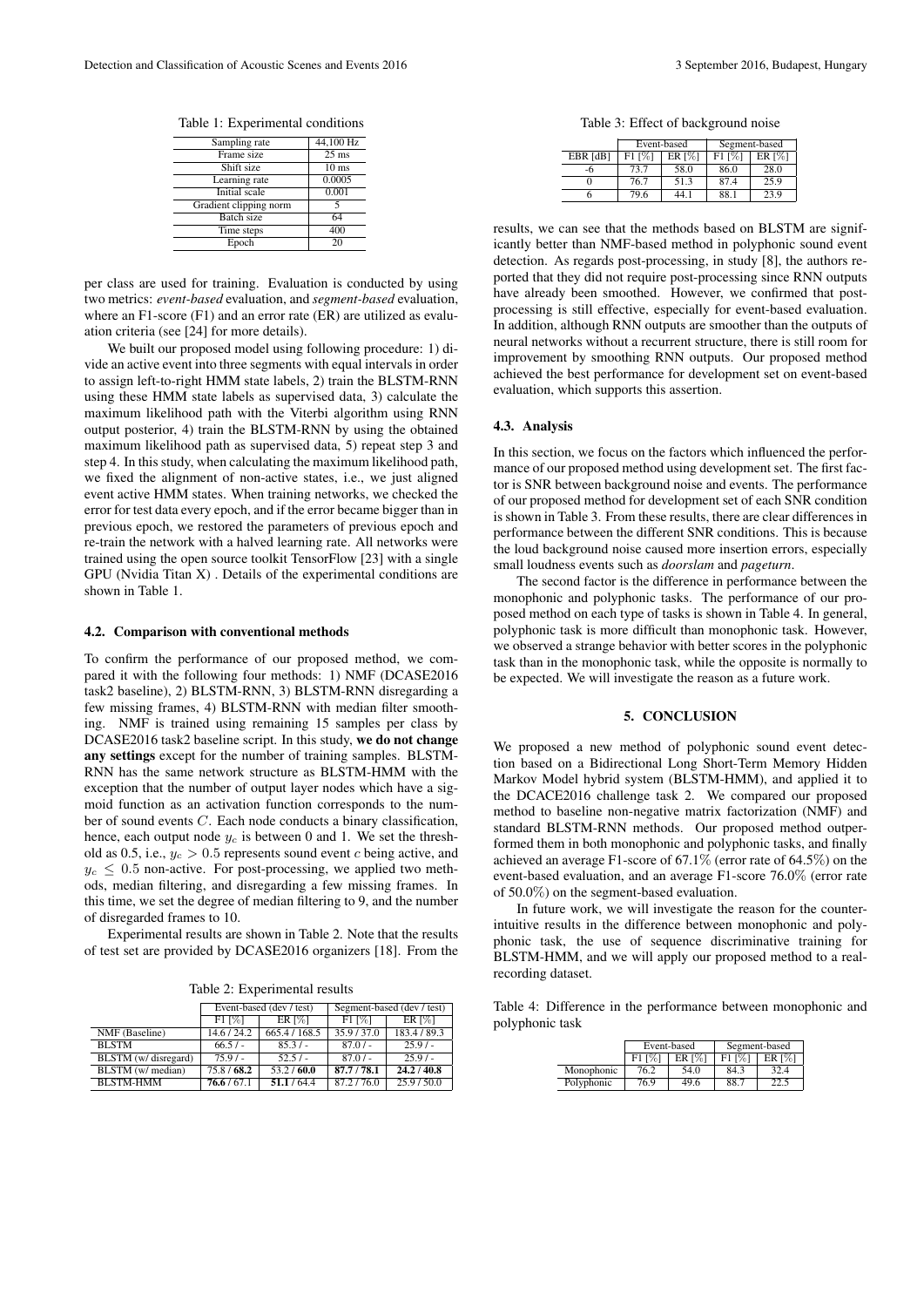Table 1: Experimental conditions

| Sampling rate          | 44,100 Hz          |
|------------------------|--------------------|
| Frame size             | $\overline{25}$ ms |
| Shift size             | 10 <sub>ms</sub>   |
| Learning rate          | 0.0005             |
| Initial scale          | 0.001              |
| Gradient clipping norm | 5                  |
| Batch size             | 64                 |
| Time steps             | 400                |
| Epoch                  | 20                 |

per class are used for training. Evaluation is conducted by using two metrics: *event-based* evaluation, and *segment-based* evaluation, where an F1-score (F1) and an error rate (ER) are utilized as evaluation criteria (see [24] for more details).

We built our proposed model using following procedure: 1) divide an active event into three segments with equal intervals in order to assign left-to-right HMM state labels, 2) train the BLSTM-RNN using these HMM state labels as supervised data, 3) calculate the maximum likelihood path with the Viterbi algorithm using RNN output posterior, 4) train the BLSTM-RNN by using the obtained maximum likelihood path as supervised data, 5) repeat step 3 and step 4. In this study, when calculating the maximum likelihood path, we fixed the alignment of non-active states, i.e., we just aligned event active HMM states. When training networks, we checked the error for test data every epoch, and if the error became bigger than in previous epoch, we restored the parameters of previous epoch and re-train the network with a halved learning rate. All networks were trained using the open source toolkit TensorFlow [23] with a single GPU (Nvidia Titan X) . Details of the experimental conditions are shown in Table 1.

#### 4.2. Comparison with conventional methods

To confirm the performance of our proposed method, we compared it with the following four methods: 1) NMF (DCASE2016 task2 baseline), 2) BLSTM-RNN, 3) BLSTM-RNN disregarding a few missing frames, 4) BLSTM-RNN with median filter smoothing. NMF is trained using remaining 15 samples per class by DCASE2016 task2 baseline script. In this study, we do not change any settings except for the number of training samples. BLSTM-RNN has the same network structure as BLSTM-HMM with the exception that the number of output layer nodes which have a sigmoid function as an activation function corresponds to the number of sound events *C*. Each node conducts a binary classification, hence, each output node  $y_c$  is between 0 and 1. We set the threshold as 0.5, i.e.,  $y_c > 0.5$  represents sound event *c* being active, and  $y_c \leq 0.5$  non-active. For post-processing, we applied two methods, median filtering, and disregarding a few missing frames. In this time, we set the degree of median filtering to 9, and the number of disregarded frames to 10.

Experimental results are shown in Table 2. Note that the results of test set are provided by DCASE2016 organizers [18]. From the

Table 2: Experimental results

|                        | Event-based (dev / test) |                | Segment-based (dev / test) |               |
|------------------------|--------------------------|----------------|----------------------------|---------------|
|                        | $F11\%1$                 | ER $\sqrt{31}$ | $F11\%1$                   | <b>ER</b> [%] |
| NMF (Baseline)         | 14.6 / 24.2              | 665.4 / 168.5  | 35.9/37.0                  | 183.4 / 89.3  |
| <b>BLSTM</b>           | 66.5/                    | 85.3/          | $87.0/-$                   | $25.9/-$      |
| $BLSTM$ (w/ disregard) | $75.9/-$                 | 52.5/          | $87.0/-$                   | $25.9/-$      |
| BLSTM (w/ median)      | 75.8/68.2                | 53.2/60.0      | 87.7/78.1                  | 24.2 / 40.8   |
| <b>BLSTM-HMM</b>       | 76.6/67.1                | 51.1/64.4      | 87.2/76.0                  | 25.9/50.0     |

Table 3: Effect of background noise

|            | Event-based            |                       | Segment-based |                      |
|------------|------------------------|-----------------------|---------------|----------------------|
| $EBR$ [dB] | $F1$ $\lceil\% \rceil$ | ER $\lceil \% \rceil$ | F1 [%]        | ER $\lceil\% \rceil$ |
| -h         | 73.7                   | 58.0                  | 86.0          | 28.0                 |
|            | 76.7                   | 51.3                  | 87.4          | 25.9                 |
|            | 79.6                   | 44.1                  | 88.1          | 23.9                 |

results, we can see that the methods based on BLSTM are significantly better than NMF-based method in polyphonic sound event detection. As regards post-processing, in study [8], the authors reported that they did not require post-processing since RNN outputs have already been smoothed. However, we confirmed that postprocessing is still effective, especially for event-based evaluation. In addition, although RNN outputs are smoother than the outputs of neural networks without a recurrent structure, there is still room for improvement by smoothing RNN outputs. Our proposed method achieved the best performance for development set on event-based evaluation, which supports this assertion.

## 4.3. Analysis

In this section, we focus on the factors which influenced the performance of our proposed method using development set. The first factor is SNR between background noise and events. The performance of our proposed method for development set of each SNR condition is shown in Table 3. From these results, there are clear differences in performance between the different SNR conditions. This is because the loud background noise caused more insertion errors, especially small loudness events such as *doorslam* and *pageturn*.

The second factor is the difference in performance between the monophonic and polyphonic tasks. The performance of our proposed method on each type of tasks is shown in Table 4. In general, polyphonic task is more difficult than monophonic task. However, we observed a strange behavior with better scores in the polyphonic task than in the monophonic task, while the opposite is normally to be expected. We will investigate the reason as a future work.

# 5. CONCLUSION

We proposed a new method of polyphonic sound event detection based on a Bidirectional Long Short-Term Memory Hidden Markov Model hybrid system (BLSTM-HMM), and applied it to the DCACE2016 challenge task 2. We compared our proposed method to baseline non-negative matrix factorization (NMF) and standard BLSTM-RNN methods. Our proposed method outperformed them in both monophonic and polyphonic tasks, and finally achieved an average F1-score of 67.1% (error rate of 64.5%) on the event-based evaluation, and an average F1-score 76.0% (error rate of 50.0%) on the segment-based evaluation.

In future work, we will investigate the reason for the counterintuitive results in the difference between monophonic and polyphonic task, the use of sequence discriminative training for BLSTM-HMM, and we will apply our proposed method to a realrecording dataset.

Table 4: Difference in the performance between monophonic and polyphonic task

|            | Event-based |               | Segment-based |                      |
|------------|-------------|---------------|---------------|----------------------|
|            | F1 [%]      | <b>ER</b> [%] | F1 [%]        | ER $\lceil\% \rceil$ |
| Monophonic | 76.2        | 54.0          | 84.3          | 32.4                 |
| Polyphonic | 76.9        | 49.6          | 88.7          | 22.5                 |